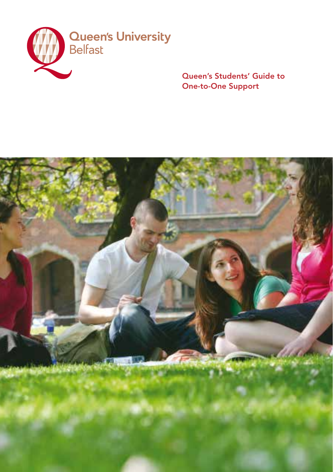

Queen's Students' Guide to One-to-One Support

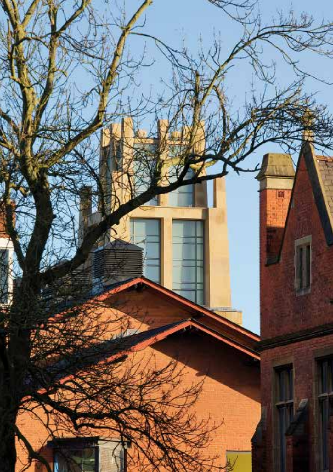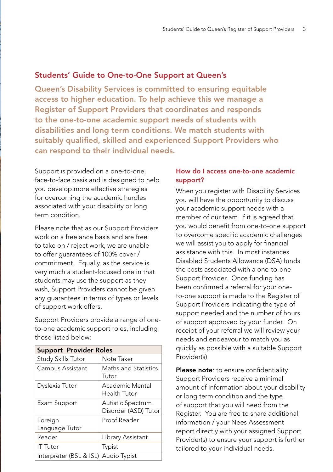## Students' Guide to One-to-One Support at Queen's

Queen's Disability Services is committed to ensuring equitable access to higher education. To help achieve this we manage a Register of Support Providers that coordinates and responds to the one-to-one academic support needs of students with disabilities and long term conditions. We match students with suitably qualified, skilled and experienced Support Providers who can respond to their individual needs.

Support is provided on a one-to-one, face-to-face basis and is designed to help you develop more effective strategies for overcoming the academic hurdles associated with your disability or long term condition.

Please note that as our Support Providers work on a freelance basis and are free to take on / reject work, we are unable to offer guarantees of 100% cover / commitment. Equally, as the service is very much a student-focused one in that students may use the support as they wish, Support Providers cannot be given any guarantees in terms of types or levels of support work offers.

Support Providers provide a range of oneto-one academic support roles, including those listed below:

| <b>Support Provider Roles</b> |                                                  |  |
|-------------------------------|--------------------------------------------------|--|
| Study Skills Tutor            | Note Taker                                       |  |
| Campus Assistant              | Maths and Statistics<br>Tutor                    |  |
| Dyslexia Tutor                | Academic Mental<br>Health Tutor                  |  |
| Exam Support                  | <b>Autistic Spectrum</b><br>Disorder (ASD) Tutor |  |
| Foreign<br>Language Tutor     | Proof Reader                                     |  |
| Reader                        | Library Assistant                                |  |
| IT Tutor                      | Typist                                           |  |
| Interpreter (BSL & ISL)       | Audio Typist                                     |  |

## How do I access one-to-one academic support?

When you register with Disability Services you will have the opportunity to discuss your academic support needs with a member of our team. If it is agreed that you would benefit from one-to-one support to overcome specific academic challenges we will assist you to apply for financial assistance with this. In most instances Disabled Students Allowance (DSA) funds the costs associated with a one-to-one Support Provider. Once funding has been confirmed a referral for your oneto-one support is made to the Register of Support Providers indicating the type of support needed and the number of hours of support approved by your funder. On receipt of your referral we will review your needs and endeavour to match you as quickly as possible with a suitable Support Provider(s).

Please note: to ensure confidentiality Support Providers receive a minimal amount of information about your disability or long term condition and the type of support that you will need from the Register. You are free to share additional information / your Nees Assessment report directly with your assigned Support Provider(s) to ensure your support is further tailored to your individual needs.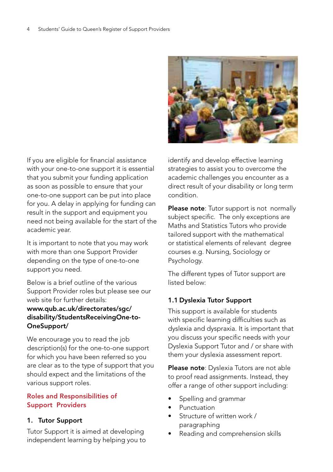

If you are eligible for financial assistance with your one-to-one support it is essential that you submit your funding application as soon as possible to ensure that your one-to-one support can be put into place for you. A delay in applying for funding can result in the support and equipment you need not being available for the start of the academic year.

It is important to note that you may work with more than one Support Provider depending on the type of one-to-one support you need.

Below is a brief outline of the various Support Provider roles but please see our web site for further details:

### [www.qub.ac.uk/directorates/sgc/](www.qub.ac.uk/directorates/sgc/disability/StudentsReceivingOne-to-OneSupport/) [disability/StudentsReceivingOne-to-](www.qub.ac.uk/directorates/sgc/disability/StudentsReceivingOne-to-OneSupport/)[OneSupport/](www.qub.ac.uk/directorates/sgc/disability/StudentsReceivingOne-to-OneSupport/)

We encourage you to read the job description(s) for the one-to-one support for which you have been referred so you are clear as to the type of support that you should expect and the limitations of the various support roles.

## Roles and Responsibilities of Support Providers

#### 1. Tutor Support

Tutor Support it is aimed at developing independent learning by helping you to identify and develop effective learning strategies to assist you to overcome the academic challenges you encounter as a direct result of your disability or long term condition.

Please note: Tutor support is not normally subject specific. The only exceptions are Maths and Statistics Tutors who provide tailored support with the mathematical or statistical elements of relevant degree courses e.g. Nursing, Sociology or Psychology.

The different types of Tutor support are listed below:

### 1.1 Dyslexia Tutor Support

This support is available for students with specific learning difficulties such as dyslexia and dyspraxia. It is important that you discuss your specific needs with your Dyslexia Support Tutor and / or share with them your dyslexia assessment report.

Please note: Dyslexia Tutors are not able to proof read assignments. Instead, they offer a range of other support including:

- Spelling and grammar
- Punctuation
- Structure of written work / paragraphing
- Reading and comprehension skills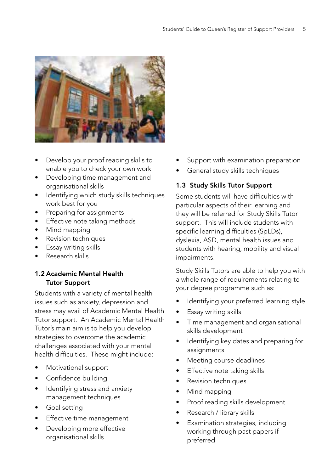

- Develop your proof reading skills to enable you to check your own work
- Developing time management and organisational skills
- Identifying which study skills techniques work best for you
- Preparing for assignments
- Effective note taking methods
- Mind mapping
- Revision techniques
- Essay writing skills
- Research skills

## 1.2 Academic Mental Health Tutor Support

Students with a variety of mental health issues such as anxiety, depression and stress may avail of Academic Mental Health Tutor support. An Academic Mental Health Tutor's main aim is to help you develop strategies to overcome the academic challenges associated with your mental health difficulties. These might include:

- Motivational support
- Confidence building
- Identifying stress and anxiety management techniques
- Goal setting
- **Effective time management**
- Developing more effective organisational skills
- Support with examination preparation
- General study skills techniques

# 1.3 Study Skills Tutor Support

Some students will have difficulties with particular aspects of their learning and they will be referred for Study Skills Tutor support. This will include students with specific learning difficulties (SpLDs), dyslexia, ASD, mental health issues and students with hearing, mobility and visual impairments.

Study Skills Tutors are able to help you with a whole range of requirements relating to your degree programme such as:

- Identifying your preferred learning style
- Essay writing skills
- Time management and organisational skills development
- Identifying key dates and preparing for assignments
- Meeting course deadlines
- Effective note taking skills
- Revision techniques
- Mind mapping
- Proof reading skills development
- Research / library skills
- Examination strategies, including working through past papers if preferred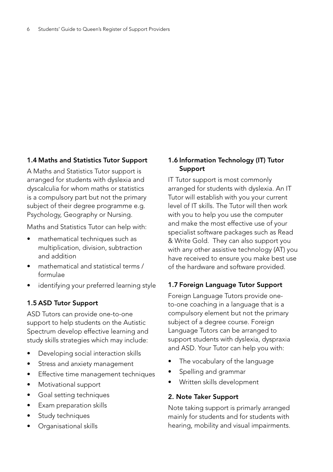### 1.4 Maths and Statistics Tutor Support

A Maths and Statistics Tutor support is arranged for students with dyslexia and dyscalculia for whom maths or statistics is a compulsory part but not the primary subject of their degree programme e.g. Psychology, Geography or Nursing.

Maths and Statistics Tutor can help with:

- mathematical techniques such as multiplication, division, subtraction and addition
- mathematical and statistical terms / formulae
- identifying your preferred learning style

### 1.5 ASD Tutor Support

ASD Tutors can provide one-to-one support to help students on the Autistic Spectrum develop effective learning and study skills strategies which may include:

- Developing social interaction skills
- Stress and anxiety management
- Effective time management techniques
- Motivational support
- Goal setting techniques
- Exam preparation skills
- Study techniques
- Organisational skills

## 1.6 Information Technology (IT) Tutor Support

IT Tutor support is most commonly arranged for students with dyslexia. An IT Tutor will establish with you your current level of IT skills. The Tutor will then work with you to help you use the computer and make the most effective use of your specialist software packages such as Read & Write Gold. They can also support you with any other assistive technology (AT) you have received to ensure you make best use of the hardware and software provided.

### 1.7 Foreign Language Tutor Support

Foreign Language Tutors provide oneto-one coaching in a language that is a compulsory element but not the primary subject of a degree course. Foreign Language Tutors can be arranged to support students with dyslexia, dyspraxia and ASD. Your Tutor can help you with:

- The vocabulary of the language
- Spelling and grammar
- Written skills development

#### 2. Note Taker Support

Note taking support is primarly arranged mainly for students and for students with hearing, mobility and visual impairments.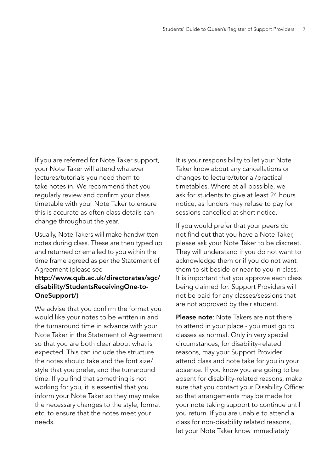If you are referred for Note Taker support, your Note Taker will attend whatever lectures/tutorials you need them to take notes in. We recommend that you regularly review and confirm your class timetable with your Note Taker to ensure this is accurate as often class details can change throughout the year.

Usually, Note Takers will make handwritten notes during class. These are then typed up and returned or emailed to you within the time frame agreed as per the Statement of Agreement (please see

## [http://www.qub.ac.uk/directorates/sgc/](http://www.qub.ac.uk/directorates/sgc/disability/StudentsReceivingOne-to-OneSupport/) [disability/StudentsReceivingOne-to-](http://www.qub.ac.uk/directorates/sgc/disability/StudentsReceivingOne-to-OneSupport/)[OneSupport/](http://www.qub.ac.uk/directorates/sgc/disability/StudentsReceivingOne-to-OneSupport/))

We advise that you confirm the format you would like your notes to be written in and the turnaround time in advance with your Note Taker in the Statement of Agreement so that you are both clear about what is expected. This can include the structure the notes should take and the font size/ style that you prefer, and the turnaround time. If you find that something is not working for you, it is essential that you inform your Note Taker so they may make the necessary changes to the style, format etc. to ensure that the notes meet your needs.

It is your responsibility to let your Note Taker know about any cancellations or changes to lecture/tutorial/practical timetables. Where at all possible, we ask for students to give at least 24 hours notice, as funders may refuse to pay for sessions cancelled at short notice.

If you would prefer that your peers do not find out that you have a Note Taker, please ask your Note Taker to be discreet. They will understand if you do not want to acknowledge them or if you do not want them to sit beside or near to you in class. It is important that you approve each class being claimed for. Support Providers will not be paid for any classes/sessions that are not approved by their student.

Please note: Note Takers are not there to attend in your place - you must go to classes as normal. Only in very special circumstances, for disability-related reasons, may your Support Provider attend class and note take for you in your absence. If you know you are going to be absent for disability-related reasons, make sure that you contact your Disability Officer so that arrangements may be made for your note taking support to continue until you return. If you are unable to attend a class for non-disability related reasons, let your Note Taker know immediately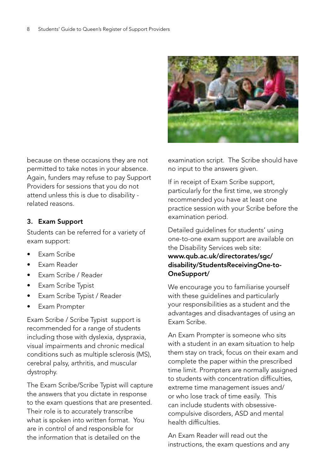because on these occasions they are not permitted to take notes in your absence. Again, funders may refuse to pay Support Providers for sessions that you do not attend unless this is due to disability related reasons.

### 3. Exam Support

Students can be referred for a variety of exam support:

- Exam Scribe
- Exam Reader
- Exam Scribe / Reader
- Exam Scribe Typist
- Exam Scribe Typist / Reader
- Exam Prompter

Exam Scribe / Scribe Typist support is recommended for a range of students including those with dyslexia, dyspraxia, visual impairments and chronic medical conditions such as multiple sclerosis (MS), cerebral palsy, arthritis, and muscular dystrophy.

The Exam Scribe/Scribe Typist will capture the answers that you dictate in response to the exam questions that are presented. Their role is to accurately transcribe what is spoken into written format. You are in control of and responsible for the information that is detailed on the



examination script. The Scribe should have no input to the answers given.

If in receipt of Exam Scribe support, particularly for the first time, we strongly recommended you have at least one practice session with your Scribe before the examination period.

Detailed guidelines for students' using one-to-one exam support are available on the Disability Services web site: www.qub.ac.uk/directorates/sgc/ disability/StudentsReceivingOne-to-OneSupport/

We encourage you to familiarise yourself with these quidelines and particularly your responsibilities as a student and the advantages and disadvantages of using an Exam Scribe.

An Exam Prompter is someone who sits with a student in an exam situation to help them stay on track, focus on their exam and complete the paper within the prescribed time limit. Prompters are normally assigned to students with concentration difficulties, extreme time management issues and/ or who lose track of time easily. This can include students with obsessivecompulsive disorders, ASD and mental health difficulties.

An Exam Reader will read out the instructions, the exam questions and any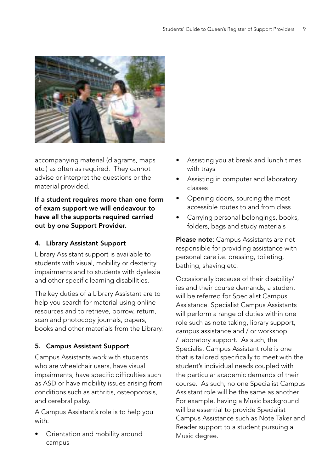

accompanying material (diagrams, maps etc.) as often as required. They cannot advise or interpret the questions or the material provided.

If a student requires more than one form of exam support we will endeavour to have all the supports required carried out by one Support Provider.

## 4. Library Assistant Support

Library Assistant support is available to students with visual, mobility or dexterity impairments and to students with dyslexia and other specific learning disabilities.

The key duties of a Library Assistant are to help you search for material using online resources and to retrieve, borrow, return, scan and photocopy journals, papers, books and other materials from the Library.

## 5. Campus Assistant Support

Campus Assistants work with students who are wheelchair users, have visual impairments, have specific difficulties such as ASD or have mobility issues arising from conditions such as arthritis, osteoporosis, and cerebral palsy.

A Campus Assistant's role is to help you with:

• Orientation and mobility around campus

- Assisting you at break and lunch times with trays
- Assisting in computer and laboratory classes
- Opening doors, sourcing the most accessible routes to and from class
- Carrying personal belongings, books, folders, bags and study materials

Please note: Campus Assistants are not responsible for providing assistance with personal care i.e. dressing, toileting, bathing, shaving etc.

Occasionally because of their disability/ ies and their course demands, a student will be referred for Specialist Campus Assistance. Specialist Campus Assistants will perform a range of duties within one role such as note taking, library support, campus assistance and / or workshop / laboratory support. As such, the Specialist Campus Assistant role is one that is tailored specifically to meet with the student's individual needs coupled with the particular academic demands of their course. As such, no one Specialist Campus Assistant role will be the same as another. For example, having a Music background will be essential to provide Specialist Campus Assistance such as Note Taker and Reader support to a student pursuing a Music degree.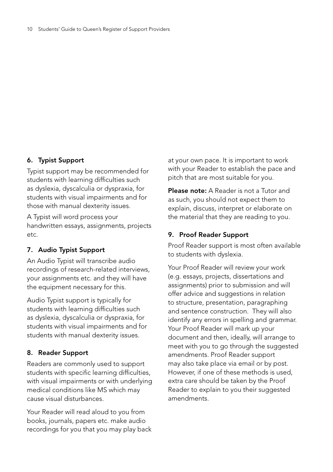## 6. Typist Support

Typist support may be recommended for students with learning difficulties such as dyslexia, dyscalculia or dyspraxia, for students with visual impairments and for those with manual dexterity issues.

A Typist will word process your handwritten essays, assignments, projects etc.

## 7. Audio Typist Support

An Audio Typist will transcribe audio recordings of research-related interviews, your assignments etc. and they will have the equipment necessary for this.

Audio Typist support is typically for students with learning difficulties such as dyslexia, dyscalculia or dyspraxia, for students with visual impairments and for students with manual dexterity issues.

## 8. Reader Support

Readers are commonly used to support students with specific learning difficulties, with visual impairments or with underlying medical conditions like MS which may cause visual disturbances.

Your Reader will read aloud to you from books, journals, papers etc. make audio recordings for you that you may play back

at your own pace. It is important to work with your Reader to establish the pace and pitch that are most suitable for you.

Please note: A Reader is not a Tutor and as such, you should not expect them to explain, discuss, interpret or elaborate on the material that they are reading to you.

## 9. Proof Reader Support

Proof Reader support is most often available to students with dyslexia.

Your Proof Reader will review your work (e.g. essays, projects, dissertations and assignments) prior to submission and will offer advice and suggestions in relation to structure, presentation, paragraphing and sentence construction. They will also identify any errors in spelling and grammar. Your Proof Reader will mark up your document and then, ideally, will arrange to meet with you to go through the suggested amendments. Proof Reader support may also take place via email or by post. However, if one of these methods is used, extra care should be taken by the Proof Reader to explain to you their suggested amendments.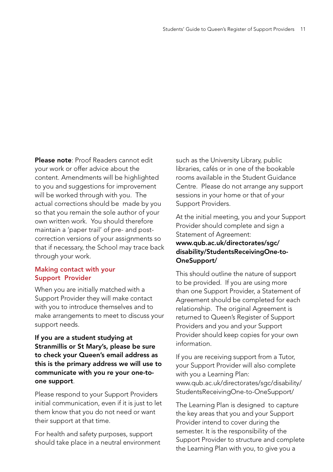Please note: Proof Readers cannot edit your work or offer advice about the content. Amendments will be highlighted to you and suggestions for improvement will be worked through with you. The actual corrections should be made by you so that you remain the sole author of your own written work. You should therefore maintain a 'paper trail' of pre- and postcorrection versions of your assignments so that if necessary, the School may trace back through your work.

#### Making contact with your Support Provider

When you are initially matched with a Support Provider they will make contact with you to introduce themselves and to make arrangements to meet to discuss your support needs.

## If you are a student studying at Stranmillis or St Mary's, please be sure to check your Queen's email address as this is the primary address we will use to communicate with you re your one-toone support.

Please respond to your Support Providers initial communication, even if it is just to let them know that you do not need or want their support at that time.

For health and safety purposes, support should take place in a neutral environment such as the University Library, public libraries, cafés or in one of the bookable rooms available in the Student Guidance Centre. Please do not arrange any support sessions in your home or that of your Support Providers.

At the initial meeting, you and your Support Provider should complete and sign a Statement of Agreement: [www.qub.ac.uk/directorates/sgc/](www.qub.ac.uk/directorates/sgc/disability/StudentsReceivingOne-to-OneSupport/) [disability/StudentsReceivingOne-to-](www.qub.ac.uk/directorates/sgc/disability/StudentsReceivingOne-to-OneSupport/)[OneSupport/](www.qub.ac.uk/directorates/sgc/disability/StudentsReceivingOne-to-OneSupport/)

This should outline the nature of support to be provided. If you are using more than one Support Provider, a Statement of Agreement should be completed for each relationship. The original Agreement is returned to Queen's Register of Support Providers and you and your Support Provider should keep copies for your own information.

If you are receiving support from a Tutor, your Support Provider will also complete with you a Learning Plan: [www.qub.ac.uk/directorates/sgc/disability/](www.qub.ac.uk/directorates/sgc/disability/StudentsReceivingOne-to-OneSupport/) [StudentsReceivingOne-to-OneSupport/](www.qub.ac.uk/directorates/sgc/disability/StudentsReceivingOne-to-OneSupport/)

The Learning Plan is designed to capture the key areas that you and your Support Provider intend to cover during the semester. It is the responsibility of the Support Provider to structure and complete the Learning Plan with you, to give you a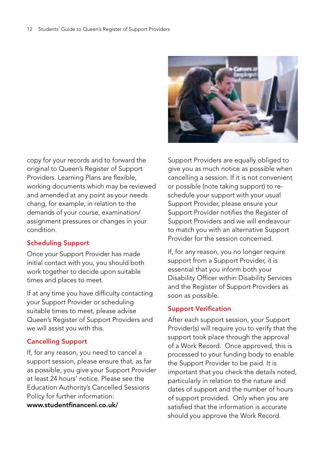copy for your records and to forward the original to Queen's Register of Support Providers. Learning Plans are flexible, working documents which may be reviewed and amended at any point as your needs chang, for example, in relation to the demands of your course, examination/ assignment pressures or changes in your condition.

#### Scheduling Support

Once your Support Provider has made initial contact with you, you should both work together to decide upon suitable times and places to meet.

If at any time you have difficulty contacting your Support Provider or scheduling suitable times to meet, please advise Queen's Register of Support Providers and we will assist you with this.

#### Cancelling Support

If, for any reason, you need to cancel a support session, please ensure that, as far as possible, you give your Support Provider at least 24 hours' notice. Please see the Education Authority's Cancelled Sessions Policy for further information:

www.studentfinanceni.co.uk/

Support Providers are equally obliged to

give you as much notice as possible when cancelling a session. If it is not convenient or possible (note taking support) to reschedule your support with your usual Support Provider, please ensure your Support Provider notifies the Register of Support Providers and we will endeavour to match you with an alternative Support Provider for the session concerned.

If, for any reason, you no longer require support from a Support Provider, it is essential that you inform both your Disability Officer within Disability Services and the Register of Support Providers as soon as possible.

#### Support Verification

After each support session, your Support Provider(s) will require you to verify that the support took place through the approval of a Work Record. Once approved, this is processed to your funding body to enable the Support Provider to be paid. It is important that you check the details noted, particularly in relation to the nature and dates of support and the number of hours of support provided. Only when you are satisfied that the information is accurate should you approve the Work Record.

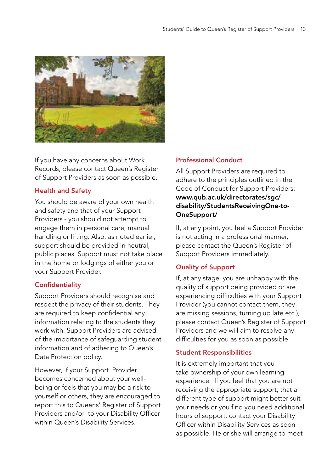

If you have any concerns about Work Records, please contact Queen's Register of Support Providers as soon as possible.

### Health and Safety

You should be aware of your own health and safety and that of your Support Providers - you should not attempt to engage them in personal care, manual handling or lifting. Also, as noted earlier, support should be provided in neutral, public places. Support must not take place in the home or lodgings of either you or your Support Provider.

#### **Confidentiality**

Support Providers should recognise and respect the privacy of their students. They are required to keep confidential any information relating to the students they work with. Support Providers are advised of the importance of safeguarding student information and of adhering to Queen's Data Protection policy.

However, if your Support Provider becomes concerned about your wellbeing or feels that you may be a risk to yourself or others, they are encouraged to report this to Queens' Register of Support Providers and/or to your Disability Officer within Queen's Disability Services.

#### Professional Conduct

All Support Providers are required to adhere to the principles outlined in the Code of Conduct for Support Providers: [www.qub.ac.uk/directorates/sgc/](www.qub.ac.uk/directorates/sgc/disability/StudentsReceivingOne-to-OneSupport/) [disability/StudentsReceivingOne-to-](www.qub.ac.uk/directorates/sgc/disability/StudentsReceivingOne-to-OneSupport/)[OneSupport/](www.qub.ac.uk/directorates/sgc/disability/StudentsReceivingOne-to-OneSupport/)

If, at any point, you feel a Support Provider is not acting in a professional manner, please contact the Queen's Register of Support Providers immediately.

### Quality of Support

If, at any stage, you are unhappy with the quality of support being provided or are experiencing difficulties with your Support Provider (you cannot contact them, they are missing sessions, turning up late etc.), please contact Queen's Register of Support Providers and we will aim to resolve any difficulties for you as soon as possible.

#### Student Responsibilities

It is extremely important that you take ownership of your own learning experience. If you feel that you are not receiving the appropriate support, that a different type of support might better suit your needs or you find you need additional hours of support, contact your Disability Officer within Disability Services as soon as possible. He or she will arrange to meet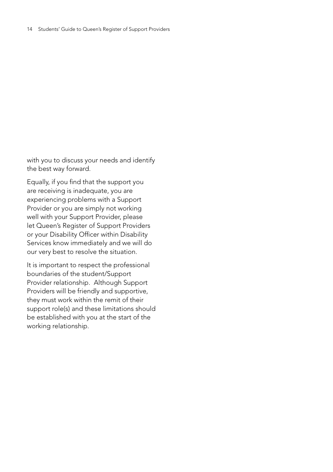with you to discuss your needs and identify the best way forward.

Equally, if you find that the support you are receiving is inadequate, you are experiencing problems with a Support Provider or you are simply not working well with your Support Provider, please let Queen's Register of Support Providers or your Disability Officer within Disability Services know immediately and we will do our very best to resolve the situation.

It is important to respect the professional boundaries of the student/Support Provider relationship. Although Support Providers will be friendly and supportive, they must work within the remit of their support role(s) and these limitations should be established with you at the start of the working relationship.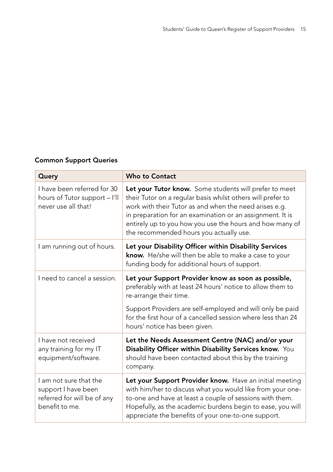## Common Support Queries

| Query                                                                                          | <b>Who to Contact</b>                                                                                                                                                                                                                                                                                                                               |
|------------------------------------------------------------------------------------------------|-----------------------------------------------------------------------------------------------------------------------------------------------------------------------------------------------------------------------------------------------------------------------------------------------------------------------------------------------------|
| I have been referred for 30<br>hours of Tutor support - I'll<br>never use all that!            | Let your Tutor know. Some students will prefer to meet<br>their Tutor on a regular basis whilst others will prefer to<br>work with their Tutor as and when the need arises e.g.<br>in preparation for an examination or an assignment. It is<br>entirely up to you how you use the hours and how many of<br>the recommended hours you actually use. |
| I am running out of hours.                                                                     | Let your Disability Officer within Disability Services<br>know. He/she will then be able to make a case to your<br>funding body for additional hours of support.                                                                                                                                                                                    |
| I need to cancel a session.                                                                    | Let your Support Provider know as soon as possible,<br>preferably with at least 24 hours' notice to allow them to<br>re-arrange their time.                                                                                                                                                                                                         |
|                                                                                                | Support Providers are self-employed and will only be paid<br>for the first hour of a cancelled session where less than 24<br>hours' notice has been given.                                                                                                                                                                                          |
| I have not received<br>any training for my IT<br>equipment/software.                           | Let the Needs Assessment Centre (NAC) and/or your<br>Disability Officer within Disability Services know. You<br>should have been contacted about this by the training<br>company.                                                                                                                                                                   |
| I am not sure that the<br>support I have been<br>referred for will be of any<br>benefit to me. | Let your Support Provider know. Have an initial meeting<br>with him/her to discuss what you would like from your one-<br>to-one and have at least a couple of sessions with them.<br>Hopefully, as the academic burdens begin to ease, you will<br>appreciate the benefits of your one-to-one support.                                              |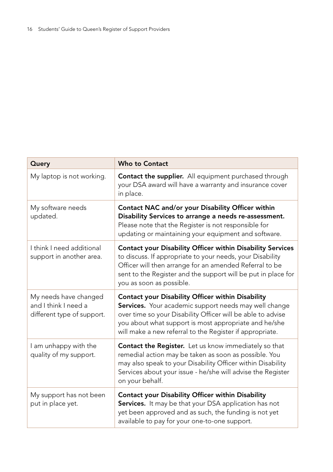| Query                                                                       | <b>Who to Contact</b>                                                                                                                                                                                                                                                                          |
|-----------------------------------------------------------------------------|------------------------------------------------------------------------------------------------------------------------------------------------------------------------------------------------------------------------------------------------------------------------------------------------|
| My laptop is not working.                                                   | <b>Contact the supplier.</b> All equipment purchased through<br>your DSA award will have a warranty and insurance cover<br>in place.                                                                                                                                                           |
| My software needs<br>updated.                                               | Contact NAC and/or your Disability Officer within<br>Disability Services to arrange a needs re-assessment.<br>Please note that the Register is not responsible for<br>updating or maintaining your equipment and software.                                                                     |
| I think I need additional<br>support in another area.                       | <b>Contact your Disability Officer within Disability Services</b><br>to discuss. If appropriate to your needs, your Disability<br>Officer will then arrange for an amended Referral to be<br>sent to the Register and the support will be put in place for<br>you as soon as possible.         |
| My needs have changed<br>and I think I need a<br>different type of support. | Contact your Disability Officer within Disability<br>Services. Your academic support needs may well change<br>over time so your Disability Officer will be able to advise<br>you about what support is most appropriate and he/she<br>will make a new referral to the Register if appropriate. |
| I am unhappy with the<br>quality of my support.                             | Contact the Register. Let us know immediately so that<br>remedial action may be taken as soon as possible. You<br>may also speak to your Disability Officer within Disability<br>Services about your issue - he/she will advise the Register<br>on your behalf.                                |
| My support has not been<br>put in place yet.                                | Contact your Disability Officer within Disability<br>Services. It may be that your DSA application has not<br>yet been approved and as such, the funding is not yet<br>available to pay for your one-to-one support.                                                                           |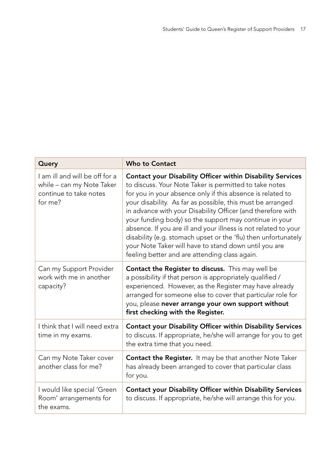| Query                                                                                            | <b>Who to Contact</b>                                                                                                                                                                                                                                                                                                                                                                                                                                                                                                                                                                                                           |
|--------------------------------------------------------------------------------------------------|---------------------------------------------------------------------------------------------------------------------------------------------------------------------------------------------------------------------------------------------------------------------------------------------------------------------------------------------------------------------------------------------------------------------------------------------------------------------------------------------------------------------------------------------------------------------------------------------------------------------------------|
| I am ill and will be off for a<br>while - can my Note Taker<br>continue to take notes<br>for me? | <b>Contact your Disability Officer within Disability Services</b><br>to discuss. Your Note Taker is permitted to take notes<br>for you in your absence only if this absence is related to<br>your disability. As far as possible, this must be arranged<br>in advance with your Disability Officer (and therefore with<br>your funding body) so the support may continue in your<br>absence. If you are ill and your illness is not related to your<br>disability (e.g. stomach upset or the 'flu) then unfortunately<br>your Note Taker will have to stand down until you are<br>feeling better and are attending class again. |
| Can my Support Provider<br>work with me in another<br>capacity?                                  | <b>Contact the Register to discuss.</b> This may well be<br>a possibility if that person is appropriately qualified /<br>experienced. However, as the Register may have already<br>arranged for someone else to cover that particular role for<br>you, please never arrange your own support without<br>first checking with the Register.                                                                                                                                                                                                                                                                                       |
| I think that I will need extra<br>time in my exams.                                              | <b>Contact your Disability Officer within Disability Services</b><br>to discuss. If appropriate, he/she will arrange for you to get<br>the extra time that you need.                                                                                                                                                                                                                                                                                                                                                                                                                                                            |
| Can my Note Taker cover<br>another class for me?                                                 | <b>Contact the Register.</b> It may be that another Note Taker<br>has already been arranged to cover that particular class<br>for you.                                                                                                                                                                                                                                                                                                                                                                                                                                                                                          |
| I would like special 'Green<br>Room' arrangements for<br>the exams.                              | <b>Contact your Disability Officer within Disability Services</b><br>to discuss. If appropriate, he/she will arrange this for you.                                                                                                                                                                                                                                                                                                                                                                                                                                                                                              |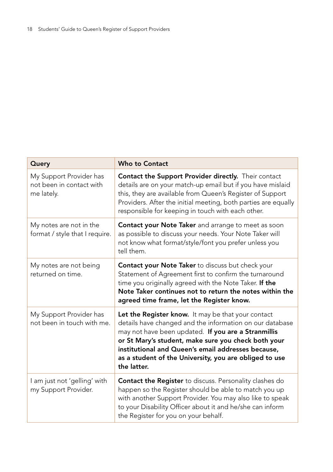| Query                                                             | <b>Who to Contact</b>                                                                                                                                                                                                                                                                                                                                       |
|-------------------------------------------------------------------|-------------------------------------------------------------------------------------------------------------------------------------------------------------------------------------------------------------------------------------------------------------------------------------------------------------------------------------------------------------|
| My Support Provider has<br>not been in contact with<br>me lately. | <b>Contact the Support Provider directly.</b> Their contact<br>details are on your match-up email but if you have mislaid<br>this, they are available from Queen's Register of Support<br>Providers. After the initial meeting, both parties are equally<br>responsible for keeping in touch with each other.                                               |
| My notes are not in the<br>format / style that I require.         | <b>Contact your Note Taker</b> and arrange to meet as soon<br>as possible to discuss your needs. Your Note Taker will<br>not know what format/style/font you prefer unless you<br>tell them.                                                                                                                                                                |
| My notes are not being<br>returned on time.                       | Contact your Note Taker to discuss but check your<br>Statement of Agreement first to confirm the turnaround<br>time you originally agreed with the Note Taker. If the<br>Note Taker continues not to return the notes within the<br>agreed time frame, let the Register know.                                                                               |
| My Support Provider has<br>not been in touch with me.             | Let the Register know. It may be that your contact<br>details have changed and the information on our database<br>may not have been updated. If you are a Stranmillis<br>or St Mary's student, make sure you check both your<br>institutional and Queen's email addresses because.<br>as a student of the University, you are obliged to use<br>the latter. |
| I am just not 'gelling' with<br>my Support Provider.              | Contact the Register to discuss. Personality clashes do<br>happen so the Register should be able to match you up<br>with another Support Provider. You may also like to speak<br>to your Disability Officer about it and he/she can inform<br>the Register for you on your behalf.                                                                          |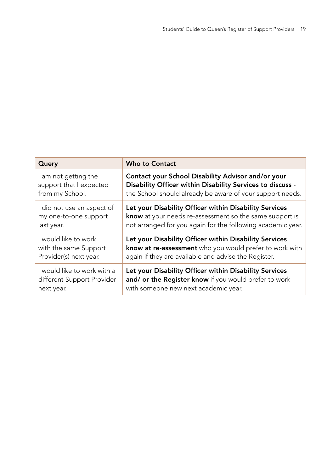| Query                       | <b>Who to Contact</b>                                       |
|-----------------------------|-------------------------------------------------------------|
| I am not getting the        | Contact your School Disability Advisor and/or your          |
| support that I expected     | Disability Officer within Disability Services to discuss -  |
| from my School.             | the School should already be aware of your support needs.   |
| I did not use an aspect of  | Let your Disability Officer within Disability Services      |
| my one-to-one support       | know at your needs re-assessment so the same support is     |
| last year.                  | not arranged for you again for the following academic year. |
| I would like to work        | Let your Disability Officer within Disability Services      |
| with the same Support       | know at re-assessment who you would prefer to work with     |
| Provider(s) next year.      | again if they are available and advise the Register.        |
| I would like to work with a | Let your Disability Officer within Disability Services      |
| different Support Provider  | and/ or the Register know if you would prefer to work       |
| next year.                  | with someone new next academic year.                        |